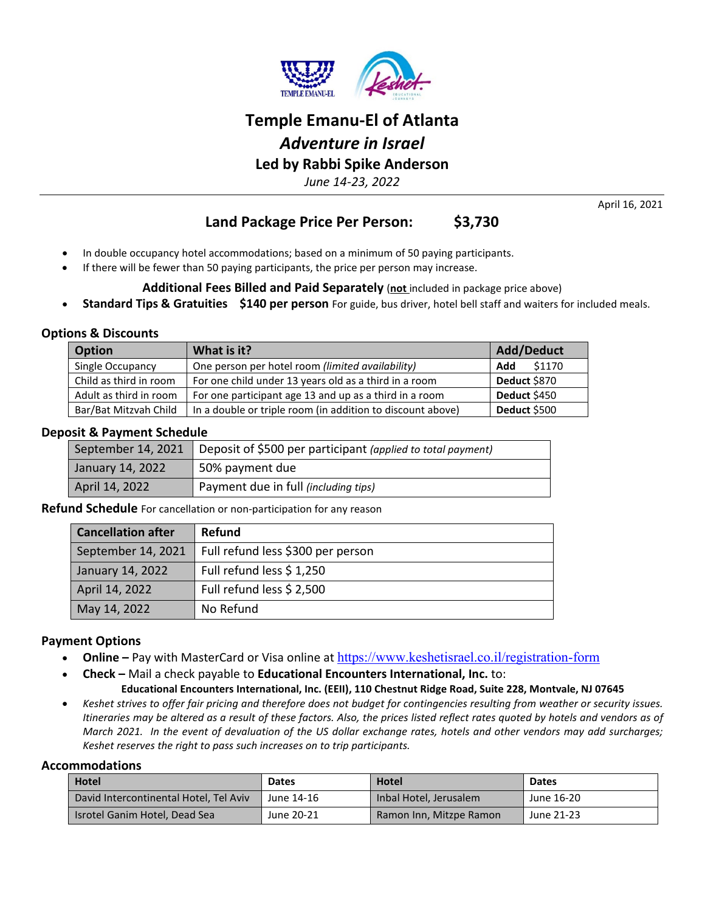

# **Temple Emanu-El of Atlanta** *Adventure in Israel* **Led by Rabbi Spike Anderson**

*June 14-23, 2022*

April 16, 2021

## **Land Package Price Per Person: \$3,730**

- In double occupancy hotel accommodations; based on a minimum of 50 paying participants.
- If there will be fewer than 50 paying participants, the price per person may increase.

## **Additional Fees Billed and Paid Separately** (**not** included in package price above)

• **Standard Tips & Gratuities \$140 per person** For guide, bus driver, hotel bell staff and waiters for included meals.

## **Options & Discounts**

| <b>Option</b>          | What is it?                                                | <b>Add/Deduct</b> |
|------------------------|------------------------------------------------------------|-------------------|
| Single Occupancy       | One person per hotel room (limited availability)           | \$1170<br>Add     |
| Child as third in room | For one child under 13 years old as a third in a room      | Deduct \$870      |
| Adult as third in room | For one participant age 13 and up as a third in a room     | Deduct \$450      |
| Bar/Bat Mitzvah Child  | In a double or triple room (in addition to discount above) | Deduct \$500      |

## **Deposit & Payment Schedule**

|                  | September 14, 2021   Deposit of \$500 per participant (applied to total payment) |
|------------------|----------------------------------------------------------------------------------|
| January 14, 2022 | 50% payment due                                                                  |
| April 14, 2022   | Payment due in full (including tips)                                             |

**Refund Schedule** For cancellation or non-participation for any reason

| <b>Cancellation after</b> | <b>Refund</b>                     |
|---------------------------|-----------------------------------|
| September 14, 2021        | Full refund less \$300 per person |
| January 14, 2022          | Full refund less \$ 1,250         |
| April 14, 2022            | Full refund less \$ 2,500         |
| May 14, 2022              | No Refund                         |

## **Payment Options**

- Online Pay with MasterCard or Visa online at <https://www.keshetisrael.co.il/registration-form>
- **Check –** Mail a check payable to **Educational Encounters International, Inc.** to: **Educational Encounters International, Inc. (EEII), 110 Chestnut Ridge Road, Suite 228, Montvale, NJ 07645**
- *Keshet strives to offer fair pricing and therefore does not budget for contingencies resulting from weather or security issues. Itineraries may be altered as a result of these factors. Also, the prices listed reflect rates quoted by hotels and vendors as of March 2021. In the event of devaluation of the US dollar exchange rates, hotels and other vendors may add surcharges; Keshet reserves the right to pass such increases on to trip participants.*

#### **Accommodations**

| <b>Hotel</b>                           | <b>Dates</b> | <b>Hotel</b>            | <b>Dates</b> |
|----------------------------------------|--------------|-------------------------|--------------|
| David Intercontinental Hotel, Tel Aviv | June 14-16   | Inbal Hotel, Jerusalem  | June 16-20   |
| Isrotel Ganim Hotel, Dead Sea          | June 20-21   | Ramon Inn, Mitzpe Ramon | June 21-23   |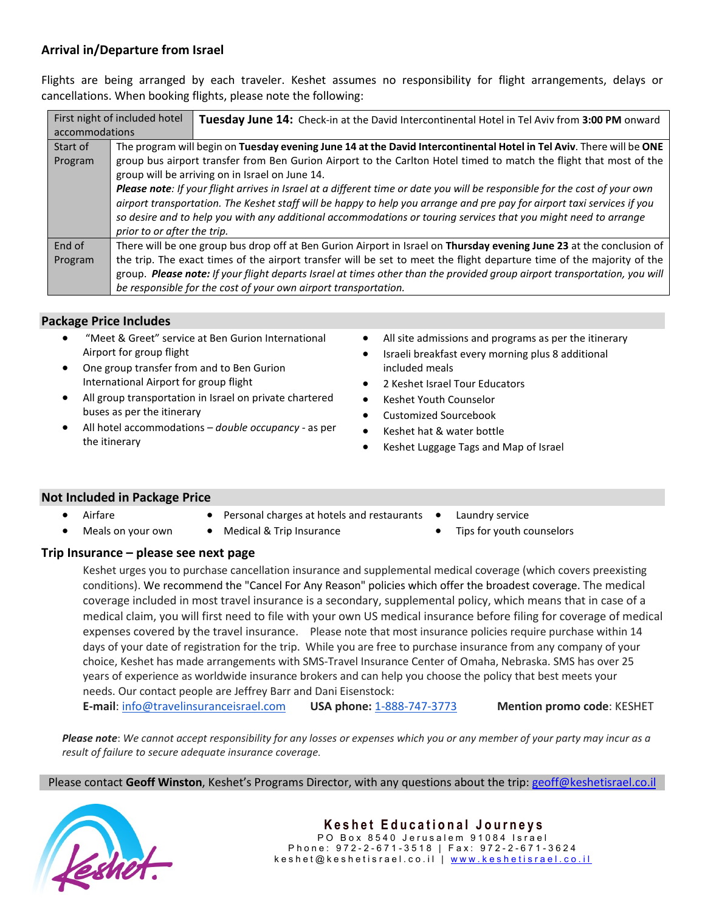## **Arrival in/Departure from Israel**

Flights are being arranged by each traveler. Keshet assumes no responsibility for flight arrangements, delays or cancellations. When booking flights, please note the following:

|                | First night of included hotel                                                                                         | Tuesday June 14: Check-in at the David Intercontinental Hotel in Tel Aviv from 3:00 PM onward                                                                                                                                                                                                                                                                                                           |  |  |
|----------------|-----------------------------------------------------------------------------------------------------------------------|---------------------------------------------------------------------------------------------------------------------------------------------------------------------------------------------------------------------------------------------------------------------------------------------------------------------------------------------------------------------------------------------------------|--|--|
| accommodations |                                                                                                                       |                                                                                                                                                                                                                                                                                                                                                                                                         |  |  |
| Start of       | The program will begin on Tuesday evening June 14 at the David Intercontinental Hotel in Tel Aviv. There will be ONE  |                                                                                                                                                                                                                                                                                                                                                                                                         |  |  |
| Program        | group bus airport transfer from Ben Gurion Airport to the Carlton Hotel timed to match the flight that most of the    |                                                                                                                                                                                                                                                                                                                                                                                                         |  |  |
|                | group will be arriving on in Israel on June 14.                                                                       |                                                                                                                                                                                                                                                                                                                                                                                                         |  |  |
|                |                                                                                                                       | Please note: If your flight arrives in Israel at a different time or date you will be responsible for the cost of your own<br>airport transportation. The Keshet staff will be happy to help you arrange and pre pay for airport taxi services if you<br>so desire and to help you with any additional accommodations or touring services that you might need to arrange<br>prior to or after the trip. |  |  |
| End of         | There will be one group bus drop off at Ben Gurion Airport in Israel on Thursday evening June 23 at the conclusion of |                                                                                                                                                                                                                                                                                                                                                                                                         |  |  |
| Program        |                                                                                                                       | the trip. The exact times of the airport transfer will be set to meet the flight departure time of the majority of the                                                                                                                                                                                                                                                                                  |  |  |
|                |                                                                                                                       | group. Please note: If your flight departs Israel at times other than the provided group airport transportation, you will                                                                                                                                                                                                                                                                               |  |  |
|                |                                                                                                                       | be responsible for the cost of your own airport transportation.                                                                                                                                                                                                                                                                                                                                         |  |  |

#### **Package Price Includes**

- "Meet & Greet" service at Ben Gurion International Airport for group flight
- One group transfer from and to Ben Gurion International Airport for group flight
- All group transportation in Israel on private chartered buses as per the itinerary
- All hotel accommodations *double occupancy -* as per the itinerary
- All site admissions and programs as per the itinerary
- Israeli breakfast every morning plus 8 additional included meals
- 2 Keshet Israel Tour Educators
- Keshet Youth Counselor
- Customized Sourcebook
- Keshet hat & water bottle
- Keshet Luggage Tags and Map of Israel

## **Not Included in Package Price**

- Airfare
- Personal charges at hotels and restaurants •
- Meals on your own
- Medical & Trip Insurance
- Laundry service
- Tips for youth counselors

## **Trip Insurance – please see next page**

Keshet urges you to purchase cancellation insurance and supplemental medical coverage (which covers preexisting conditions). We recommend the "Cancel For Any Reason" policies which offer the broadest coverage. The medical coverage included in most travel insurance is a secondary, supplemental policy, which means that in case of a medical claim, you will first need to file with your own US medical insurance before filing for coverage of medical expenses covered by the travel insurance. Please note that most insurance policies require purchase within 14 days of your date of registration for the trip. While you are free to purchase insurance from any company of your choice, Keshet has made arrangements with SMS-Travel Insurance Center of Omaha, Nebraska. SMS has over 25 years of experience as worldwide insurance brokers and can help you choose the policy that best meets your needs. Our contact people are Jeffrey Barr and Dani Eisenstock: **E-mail**: [info@travelinsuranceisrael.com](mailto:info@travelinsuranceisrael.com) **USA phone:** [1-888-747-3773](tel:1-888-747-3773) **Mention promo code**: KESHET

*Please note*: *We cannot accept responsibility for any losses or expenses which you or any member of your party may incur as a result of failure to secure adequate insurance coverage.*

Please contact **Geoff Winston**, Keshet's Programs Director, with any questions about the trip: [geoff@keshetisrael.co.il](mailto:geoff@keshetisrael.co.il)

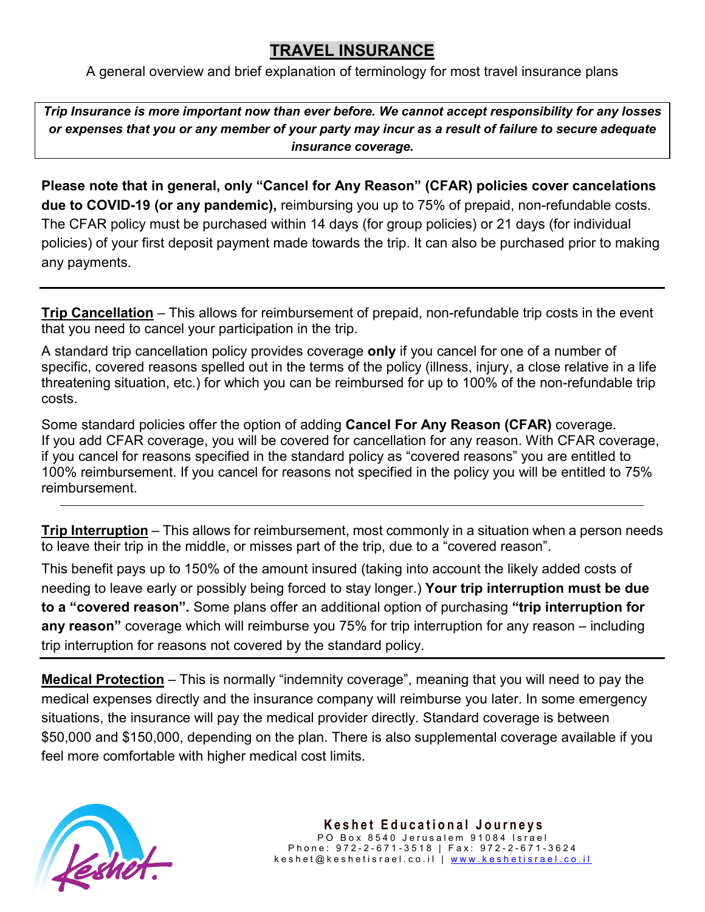## **TRAVEL INSURANCE**

A general overview and brief explanation of terminology for most travel insurance plans

*Trip Insurance is more important now than ever before. We cannot accept responsibility for any losses or expenses that you or any member of your party may incur as a result of failure to secure adequate insurance coverage.*

**Please note that in general, only "Cancel for Any Reason" (CFAR) policies cover cancelations due to COVID-19 (or any pandemic),** reimbursing you up to 75% of prepaid, non-refundable costs. The CFAR policy must be purchased within 14 days (for group policies) or 21 days (for individual policies) of your first deposit payment made towards the trip. It can also be purchased prior to making any payments.

**Trip Cancellation** – This allows for reimbursement of prepaid, non-refundable trip costs in the event that you need to cancel your participation in the trip.

A standard trip cancellation policy provides coverage **only** if you cancel for one of a number of specific, covered reasons spelled out in the terms of the policy (illness, injury, a close relative in a life threatening situation, etc.) for which you can be reimbursed for up to 100% of the non-refundable trip costs.

Some standard policies offer the option of adding **Cancel For Any Reason (CFAR)** coverage. If you add CFAR coverage, you will be covered for cancellation for any reason. With CFAR coverage, if you cancel for reasons specified in the standard policy as "covered reasons" you are entitled to 100% reimbursement. If you cancel for reasons not specified in the policy you will be entitled to 75% reimbursement. \_\_\_\_\_\_\_\_\_\_\_\_\_\_\_\_\_\_\_\_\_\_\_\_\_\_\_\_\_\_\_\_\_\_\_\_\_\_\_\_\_\_\_\_\_\_\_\_\_\_\_\_\_\_\_\_\_\_\_\_\_\_\_\_\_\_\_\_\_\_\_\_\_\_\_\_\_\_\_\_\_\_\_\_\_\_\_\_\_\_\_\_\_\_\_\_\_\_\_\_\_\_\_\_\_\_\_\_\_\_\_\_\_\_

**Trip Interruption** – This allows for reimbursement, most commonly in a situation when a person needs to leave their trip in the middle, or misses part of the trip, due to a "covered reason".

This benefit pays up to 150% of the amount insured (taking into account the likely added costs of needing to leave early or possibly being forced to stay longer.) **Your trip interruption must be due to a "covered reason".** Some plans offer an additional option of purchasing **"trip interruption for any reason"** coverage which will reimburse you 75% for trip interruption for any reason – including trip interruption for reasons not covered by the standard policy.

**Medical Protection** – This is normally "indemnity coverage", meaning that you will need to pay the medical expenses directly and the insurance company will reimburse you later. In some emergency situations, the insurance will pay the medical provider directly. Standard coverage is between \$50,000 and \$150,000, depending on the plan. There is also supplemental coverage available if you feel more comfortable with higher medical cost limits.